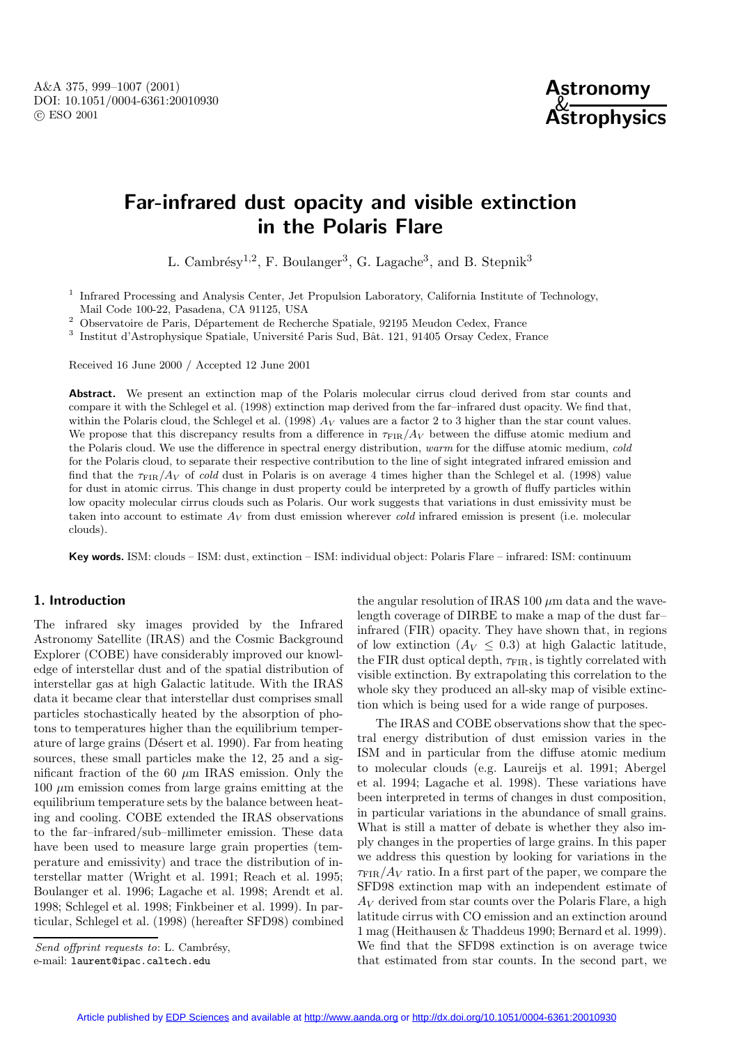A&A 375, 999–1007 (2001) DOI: 10.1051/0004-6361:20010930 c ESO 2001



# **Far-infrared dust opacity and visible extinction in the Polaris Flare**

L. Cambrésy<sup>1,2</sup>, F. Boulanger<sup>3</sup>, G. Lagache<sup>3</sup>, and B. Stepnik<sup>3</sup>

<sup>1</sup> Infrared Processing and Analysis Center, Jet Propulsion Laboratory, California Institute of Technology, Mail Code 100-22, Pasadena, CA 91125, USA

 $^2$  Observatoire de Paris, Département de Recherche Spatiale, 92195 Meudon Cedex, France

 $^3$  Institut d'Astrophysique Spatiale, Université Paris Sud, Bât. 121, 91405 Orsay Cedex, France

Received 16 June 2000 / Accepted 12 June 2001

Abstract. We present an extinction map of the Polaris molecular cirrus cloud derived from star counts and compare it with the Schlegel et al. (1998) extinction map derived from the far–infrared dust opacity. We find that, within the Polaris cloud, the Schlegel et al. (1998)  $A_V$  values are a factor 2 to 3 higher than the star count values. We propose that this discrepancy results from a difference in  $\tau_{\text{FIR}}/A_V$  between the diffuse atomic medium and the Polaris cloud. We use the difference in spectral energy distribution, warm for the diffuse atomic medium, cold for the Polaris cloud, to separate their respective contribution to the line of sight integrated infrared emission and find that the  $\tau_{\rm FIR}/A_V$  of cold dust in Polaris is on average 4 times higher than the Schlegel et al. (1998) value for dust in atomic cirrus. This change in dust property could be interpreted by a growth of fluffy particles within low opacity molecular cirrus clouds such as Polaris. Our work suggests that variations in dust emissivity must be taken into account to estimate  $A_V$  from dust emission wherever cold infrared emission is present (i.e. molecular clouds).

**Key words.** ISM: clouds – ISM: dust, extinction – ISM: individual object: Polaris Flare – infrared: ISM: continuum

# **1. Introduction**

The infrared sky images provided by the Infrared Astronomy Satellite (IRAS) and the Cosmic Background Explorer (COBE) have considerably improved our knowledge of interstellar dust and of the spatial distribution of interstellar gas at high Galactic latitude. With the IRAS data it became clear that interstellar dust comprises small particles stochastically heated by the absorption of photons to temperatures higher than the equilibrium temperature of large grains (Désert et al. 1990). Far from heating sources, these small particles make the 12, 25 and a significant fraction of the  $60 \mu m$  IRAS emission. Only the  $100 \mu m$  emission comes from large grains emitting at the equilibrium temperature sets by the balance between heating and cooling. COBE extended the IRAS observations to the far–infrared/sub–millimeter emission. These data have been used to measure large grain properties (temperature and emissivity) and trace the distribution of interstellar matter (Wright et al. 1991; Reach et al. 1995; Boulanger et al. 1996; Lagache et al. 1998; Arendt et al. 1998; Schlegel et al. 1998; Finkbeiner et al. 1999). In particular, Schlegel et al. (1998) (hereafter SFD98) combined the angular resolution of IRAS 100  $\mu$ m data and the wavelength coverage of DIRBE to make a map of the dust far– infrared (FIR) opacity. They have shown that, in regions of low extinction  $(A_V \leq 0.3)$  at high Galactic latitude, the FIR dust optical depth,  $\tau_{\text{FIR}}$ , is tightly correlated with visible extinction. By extrapolating this correlation to the whole sky they produced an all-sky map of visible extinction which is being used for a wide range of purposes.

The IRAS and COBE observations show that the spectral energy distribution of dust emission varies in the ISM and in particular from the diffuse atomic medium to molecular clouds (e.g. Laureijs et al. 1991; Abergel et al. 1994; Lagache et al. 1998). These variations have been interpreted in terms of changes in dust composition, in particular variations in the abundance of small grains. What is still a matter of debate is whether they also imply changes in the properties of large grains. In this paper we address this question by looking for variations in the  $\tau_{\text{FIR}}/A_V$  ratio. In a first part of the paper, we compare the SFD98 extinction map with an independent estimate of  $A_V$  derived from star counts over the Polaris Flare, a high latitude cirrus with CO emission and an extinction around 1 mag (Heithausen & Thaddeus 1990; Bernard et al. 1999). We find that the SFD98 extinction is on average twice that estimated from star counts. In the second part, we

Send offprint requests to: L. Cambrésy, e-mail: laurent@ipac.caltech.edu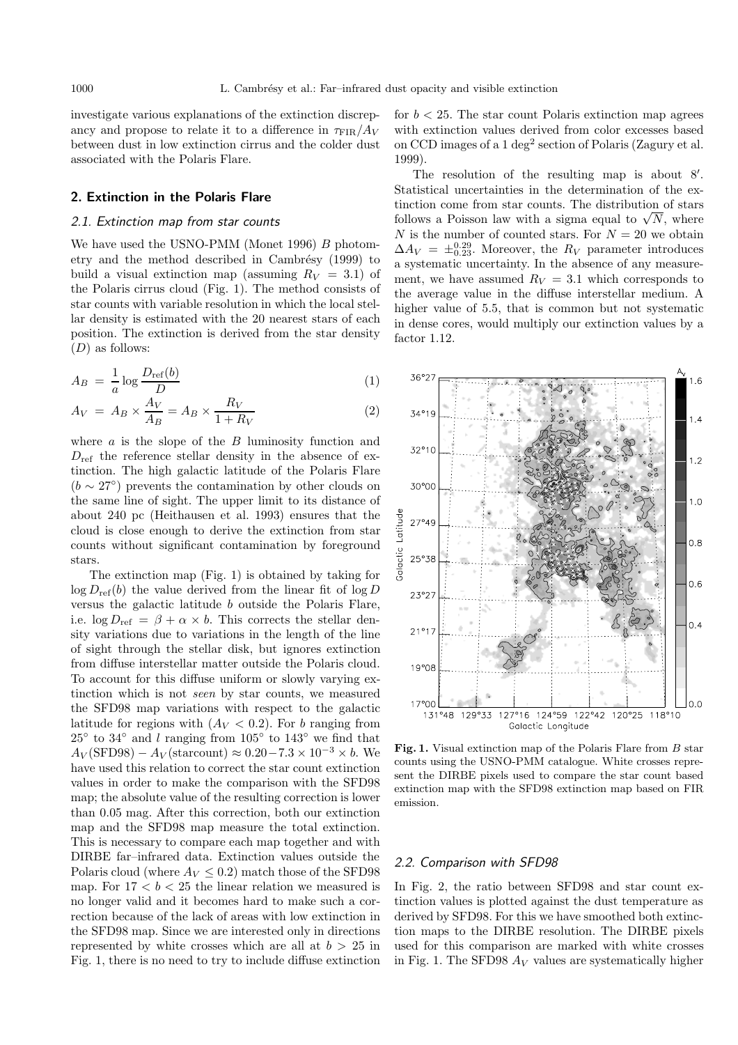investigate various explanations of the extinction discrepancy and propose to relate it to a difference in  $\tau_{\rm FIR}/A_V$ between dust in low extinction cirrus and the colder dust associated with the Polaris Flare.

## **2. Extinction in the Polaris Flare**

#### 2.1. Extinction map from star counts

We have used the USNO-PMM (Monet 1996) B photometry and the method described in Cambrésy (1999) to build a visual extinction map (assuming  $R_V = 3.1$ ) of the Polaris cirrus cloud (Fig. 1). The method consists of star counts with variable resolution in which the local stellar density is estimated with the 20 nearest stars of each position. The extinction is derived from the star density  $(D)$  as follows:

$$
A_B = \frac{1}{a} \log \frac{D_{\text{ref}}(b)}{D} \tag{1}
$$

$$
A_V = A_B \times \frac{A_V}{A_B} = A_B \times \frac{R_V}{1 + R_V} \tag{2}
$$

where  $a$  is the slope of the  $B$  luminosity function and  $D_{\text{ref}}$  the reference stellar density in the absence of extinction. The high galactic latitude of the Polaris Flare  $(b \sim 27^{\circ})$  prevents the contamination by other clouds on the same line of sight. The upper limit to its distance of about 240 pc (Heithausen et al. 1993) ensures that the cloud is close enough to derive the extinction from star counts without significant contamination by foreground stars.

The extinction map (Fig. 1) is obtained by taking for  $\log D_{\text{ref}}(b)$  the value derived from the linear fit of  $\log D$ versus the galactic latitude b outside the Polaris Flare, i.e.  $\log D_{\text{ref}} = \beta + \alpha \times b$ . This corrects the stellar density variations due to variations in the length of the line of sight through the stellar disk, but ignores extinction from diffuse interstellar matter outside the Polaris cloud. To account for this diffuse uniform or slowly varying extinction which is not seen by star counts, we measured the SFD98 map variations with respect to the galactic latitude for regions with  $(A_V < 0.2)$ . For b ranging from  $25°$  to  $34°$  and l ranging from  $105°$  to  $143°$  we find that  $A_V(\text{SFD98}) - A_V(\text{starcount}) \approx 0.20 - 7.3 \times 10^{-3} \times b$ . We have used this relation to correct the star count extinction values in order to make the comparison with the SFD98 map; the absolute value of the resulting correction is lower than 0.05 mag. After this correction, both our extinction map and the SFD98 map measure the total extinction. This is necessary to compare each map together and with DIRBE far–infrared data. Extinction values outside the Polaris cloud (where  $A_V \leq 0.2$ ) match those of the SFD98 map. For  $17 < b < 25$  the linear relation we measured is no longer valid and it becomes hard to make such a correction because of the lack of areas with low extinction in the SFD98 map. Since we are interested only in directions represented by white crosses which are all at  $b > 25$  in Fig. 1, there is no need to try to include diffuse extinction for  $b < 25$ . The star count Polaris extinction map agrees with extinction values derived from color excesses based on CCD images of a 1 deg<sup>2</sup> section of Polaris (Zagury et al. 1999).

The resolution of the resulting map is about  $8'$ . Statistical uncertainties in the determination of the extinction come from star counts. The distribution of stars follows a Poisson law with a sigma equal to  $\sqrt{N}$ , where N is the number of counted stars. For  $N = 20$  we obtain  $\Delta A_V = \pm_{0.23}^{0.29}$ . Moreover, the  $R_V$  parameter introduces a systematic uncertainty. In the absence of any measurement, we have assumed  $R_V = 3.1$  which corresponds to the average value in the diffuse interstellar medium. A higher value of 5.5, that is common but not systematic in dense cores, would multiply our extinction values by a factor 1.12.



Fig. 1. Visual extinction map of the Polaris Flare from B star counts using the USNO-PMM catalogue. White crosses represent the DIRBE pixels used to compare the star count based extinction map with the SFD98 extinction map based on FIR emission.

#### 2.2. Comparison with SFD98

In Fig. 2, the ratio between SFD98 and star count extinction values is plotted against the dust temperature as derived by SFD98. For this we have smoothed both extinction maps to the DIRBE resolution. The DIRBE pixels used for this comparison are marked with white crosses in Fig. 1. The SFD98  $A_V$  values are systematically higher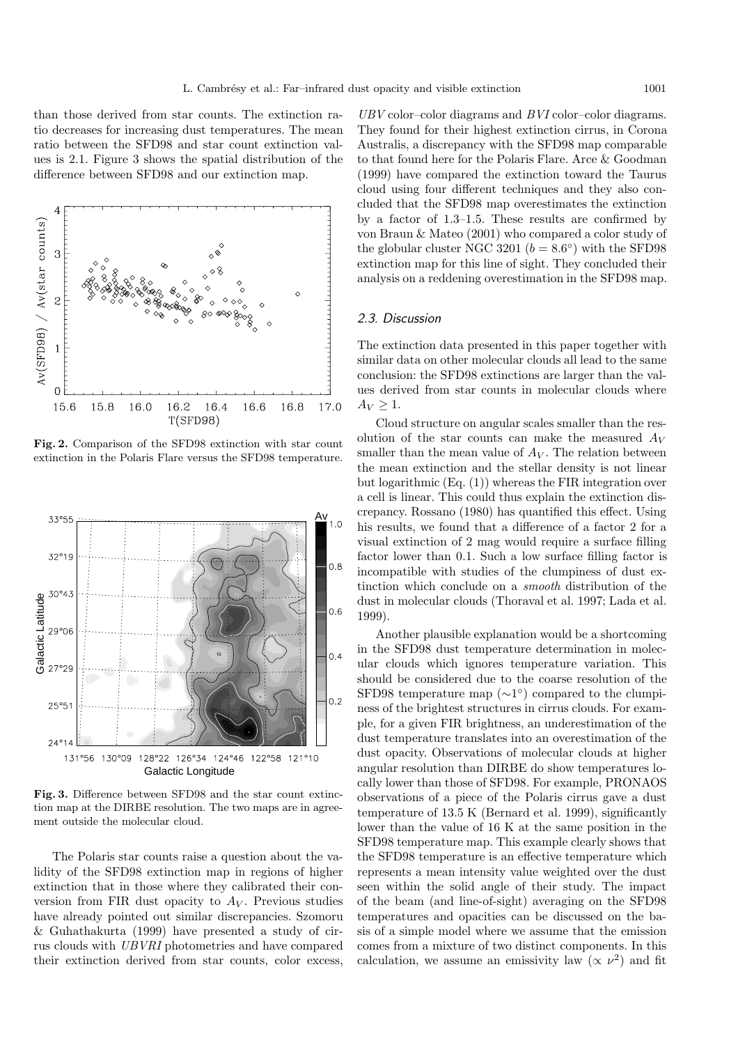than those derived from star counts. The extinction ratio decreases for increasing dust temperatures. The mean ratio between the SFD98 and star count extinction values is 2.1. Figure 3 shows the spatial distribution of the difference between SFD98 and our extinction map.



**Fig. 2.** Comparison of the SFD98 extinction with star count extinction in the Polaris Flare versus the SFD98 temperature.



**Fig. 3.** Difference between SFD98 and the star count extinction map at the DIRBE resolution. The two maps are in agreement outside the molecular cloud.

The Polaris star counts raise a question about the validity of the SFD98 extinction map in regions of higher extinction that in those where they calibrated their conversion from FIR dust opacity to  $A_V$ . Previous studies have already pointed out similar discrepancies. Szomoru & Guhathakurta (1999) have presented a study of cirrus clouds with UBVRI photometries and have compared their extinction derived from star counts, color excess,

UBV color–color diagrams and BVI color–color diagrams. They found for their highest extinction cirrus, in Corona Australis, a discrepancy with the SFD98 map comparable to that found here for the Polaris Flare. Arce & Goodman (1999) have compared the extinction toward the Taurus cloud using four different techniques and they also concluded that the SFD98 map overestimates the extinction by a factor of 1.3–1.5. These results are confirmed by von Braun & Mateo (2001) who compared a color study of the globular cluster NGC 3201 ( $b = 8.6°$ ) with the SFD98 extinction map for this line of sight. They concluded their analysis on a reddening overestimation in the SFD98 map.

## 2.3. Discussion

The extinction data presented in this paper together with similar data on other molecular clouds all lead to the same conclusion: the SFD98 extinctions are larger than the values derived from star counts in molecular clouds where  $A_V > 1$ .

Cloud structure on angular scales smaller than the resolution of the star counts can make the measured  $A_V$ smaller than the mean value of  $A_V$ . The relation between the mean extinction and the stellar density is not linear but logarithmic (Eq. (1)) whereas the FIR integration over a cell is linear. This could thus explain the extinction discrepancy. Rossano (1980) has quantified this effect. Using his results, we found that a difference of a factor 2 for a visual extinction of 2 mag would require a surface filling factor lower than 0.1. Such a low surface filling factor is incompatible with studies of the clumpiness of dust extinction which conclude on a smooth distribution of the dust in molecular clouds (Thoraval et al. 1997; Lada et al. 1999).

Another plausible explanation would be a shortcoming in the SFD98 dust temperature determination in molecular clouds which ignores temperature variation. This should be considered due to the coarse resolution of the SFD98 temperature map  $(\sim 1^{\circ})$  compared to the clumpiness of the brightest structures in cirrus clouds. For example, for a given FIR brightness, an underestimation of the dust temperature translates into an overestimation of the dust opacity. Observations of molecular clouds at higher angular resolution than DIRBE do show temperatures locally lower than those of SFD98. For example, PRONAOS observations of a piece of the Polaris cirrus gave a dust temperature of 13.5 K (Bernard et al. 1999), significantly lower than the value of 16 K at the same position in the SFD98 temperature map. This example clearly shows that the SFD98 temperature is an effective temperature which represents a mean intensity value weighted over the dust seen within the solid angle of their study. The impact of the beam (and line-of-sight) averaging on the SFD98 temperatures and opacities can be discussed on the basis of a simple model where we assume that the emission comes from a mixture of two distinct components. In this calculation, we assume an emissivity law  $(\propto \nu^2)$  and fit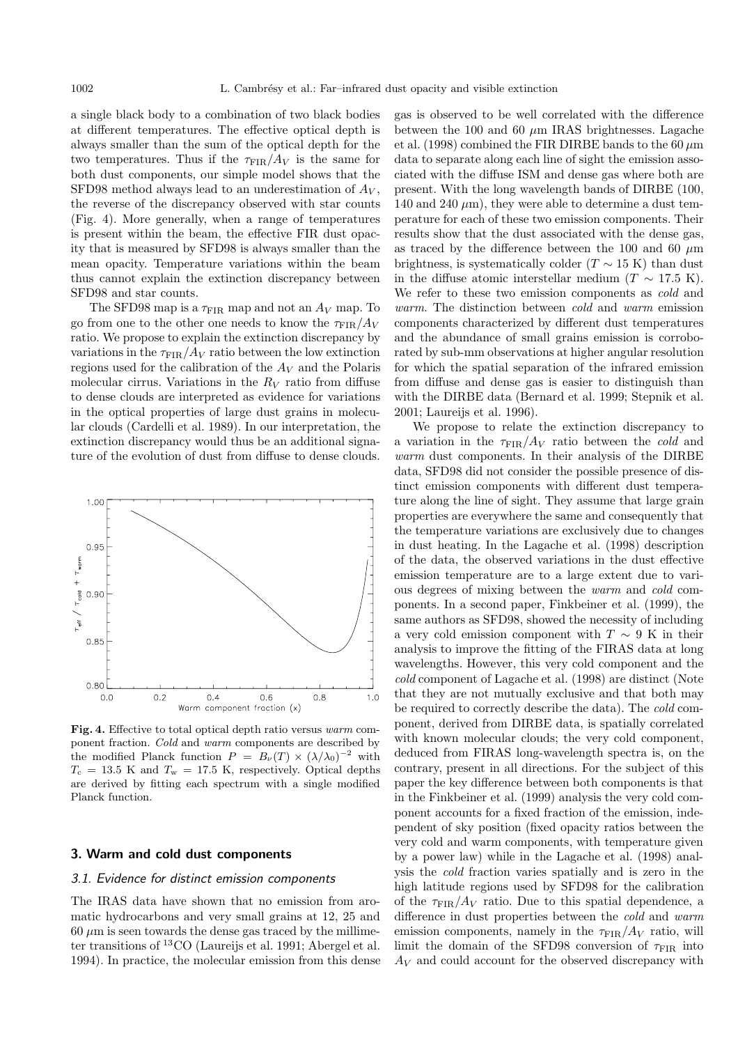a single black body to a combination of two black bodies at different temperatures. The effective optical depth is always smaller than the sum of the optical depth for the two temperatures. Thus if the  $\tau_{\text{FIR}}/A_V$  is the same for both dust components, our simple model shows that the SFD98 method always lead to an underestimation of  $A_V$ , the reverse of the discrepancy observed with star counts (Fig. 4). More generally, when a range of temperatures is present within the beam, the effective FIR dust opacity that is measured by SFD98 is always smaller than the mean opacity. Temperature variations within the beam thus cannot explain the extinction discrepancy between SFD98 and star counts.

The SFD98 map is a  $\tau_{\rm FIR}$  map and not an  $A_V$  map. To go from one to the other one needs to know the  $\tau_{\text{FIR}}/A_V$ ratio. We propose to explain the extinction discrepancy by variations in the  $\tau_{\text{FIR}}/A_V$  ratio between the low extinction regions used for the calibration of the  $A_V$  and the Polaris molecular cirrus. Variations in the  $R_V$  ratio from diffuse to dense clouds are interpreted as evidence for variations in the optical properties of large dust grains in molecular clouds (Cardelli et al. 1989). In our interpretation, the extinction discrepancy would thus be an additional signature of the evolution of dust from diffuse to dense clouds.



**Fig. 4.** Effective to total optical depth ratio versus warm component fraction. Cold and warm components are described by the modified Planck function  $P = B_{\nu}(T) \times (\lambda/\lambda_0)^{-2}$  with  $T_c = 13.5$  K and  $T_w = 17.5$  K, respectively. Optical depths are derived by fitting each spectrum with a single modified Planck function.

# **3. Warm and cold dust components**

## 3.1. Evidence for distinct emission components

The IRAS data have shown that no emission from aromatic hydrocarbons and very small grains at 12, 25 and  $60 \mu m$  is seen towards the dense gas traced by the millimeter transitions of <sup>13</sup>CO (Laureijs et al. 1991; Abergel et al. 1994). In practice, the molecular emission from this dense gas is observed to be well correlated with the difference between the 100 and 60  $\mu$ m IRAS brightnesses. Lagache et al. (1998) combined the FIR DIRBE bands to the 60  $\mu$ m data to separate along each line of sight the emission associated with the diffuse ISM and dense gas where both are present. With the long wavelength bands of DIRBE (100, 140 and 240  $\mu$ m), they were able to determine a dust temperature for each of these two emission components. Their results show that the dust associated with the dense gas, as traced by the difference between the 100 and 60  $\mu$ m brightness, is systematically colder ( $T \sim 15$  K) than dust in the diffuse atomic interstellar medium ( $T \sim 17.5$  K). We refer to these two emission components as *cold* and warm. The distinction between cold and warm emission components characterized by different dust temperatures and the abundance of small grains emission is corroborated by sub-mm observations at higher angular resolution for which the spatial separation of the infrared emission from diffuse and dense gas is easier to distinguish than with the DIRBE data (Bernard et al. 1999; Stepnik et al. 2001; Laureijs et al. 1996).

We propose to relate the extinction discrepancy to a variation in the  $\tau_{\text{FIR}}/A_V$  ratio between the *cold* and warm dust components. In their analysis of the DIRBE data, SFD98 did not consider the possible presence of distinct emission components with different dust temperature along the line of sight. They assume that large grain properties are everywhere the same and consequently that the temperature variations are exclusively due to changes in dust heating. In the Lagache et al. (1998) description of the data, the observed variations in the dust effective emission temperature are to a large extent due to various degrees of mixing between the warm and cold components. In a second paper, Finkbeiner et al. (1999), the same authors as SFD98, showed the necessity of including a very cold emission component with  $T \sim 9$  K in their analysis to improve the fitting of the FIRAS data at long wavelengths. However, this very cold component and the cold component of Lagache et al. (1998) are distinct (Note that they are not mutually exclusive and that both may be required to correctly describe the data). The cold component, derived from DIRBE data, is spatially correlated with known molecular clouds; the very cold component, deduced from FIRAS long-wavelength spectra is, on the contrary, present in all directions. For the subject of this paper the key difference between both components is that in the Finkbeiner et al. (1999) analysis the very cold component accounts for a fixed fraction of the emission, independent of sky position (fixed opacity ratios between the very cold and warm components, with temperature given by a power law) while in the Lagache et al. (1998) analysis the cold fraction varies spatially and is zero in the high latitude regions used by SFD98 for the calibration of the  $\tau_{\text{FIR}}/A_V$  ratio. Due to this spatial dependence, a difference in dust properties between the *cold* and warm emission components, namely in the  $\tau_{\text{FIR}}/A_V$  ratio, will limit the domain of the SFD98 conversion of  $\tau_{\text{FIR}}$  into  $A_V$  and could account for the observed discrepancy with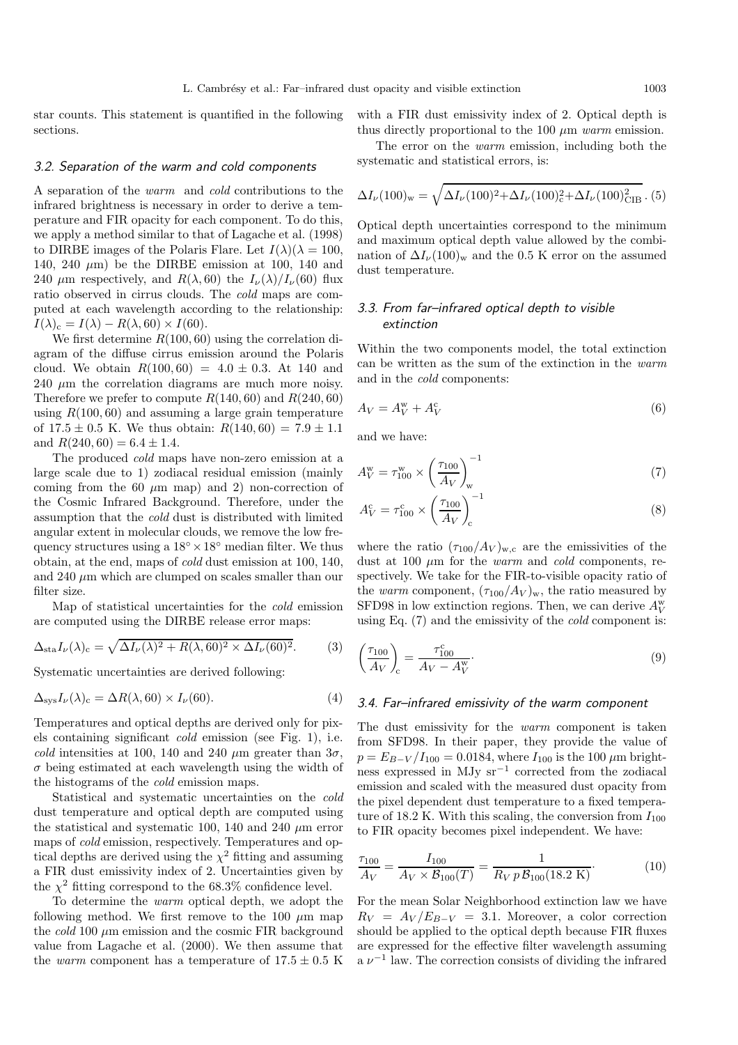star counts. This statement is quantified in the following sections.

with a FIR dust emissivity index of 2. Optical depth is thus directly proportional to the 100  $\mu$ m warm emission.

#### 3.2. Separation of the warm and cold components

A separation of the warm and cold contributions to the infrared brightness is necessary in order to derive a temperature and FIR opacity for each component. To do this, we apply a method similar to that of Lagache et al. (1998) to DIRBE images of the Polaris Flare. Let  $I(\lambda)(\lambda = 100,$ 140, 240  $\mu$ m) be the DIRBE emission at 100, 140 and 240  $\mu$ m respectively, and  $R(\lambda, 60)$  the  $I_{\nu}(\lambda)/I_{\nu}(60)$  flux ratio observed in cirrus clouds. The cold maps are computed at each wavelength according to the relationship:  $I(\lambda)_{c} = I(\lambda) - R(\lambda, 60) \times I(60).$ 

We first determine  $R(100, 60)$  using the correlation diagram of the diffuse cirrus emission around the Polaris cloud. We obtain  $R(100, 60) = 4.0 \pm 0.3$ . At 140 and  $240 \mu m$  the correlation diagrams are much more noisy. Therefore we prefer to compute  $R(140, 60)$  and  $R(240, 60)$ using  $R(100, 60)$  and assuming a large grain temperature of  $17.5 \pm 0.5$  K. We thus obtain:  $R(140, 60) = 7.9 \pm 1.1$ and  $R(240, 60) = 6.4 \pm 1.4$ .

The produced cold maps have non-zero emission at a large scale due to 1) zodiacal residual emission (mainly coming from the 60  $\mu$ m map) and 2) non-correction of the Cosmic Infrared Background. Therefore, under the assumption that the cold dust is distributed with limited angular extent in molecular clouds, we remove the low frequency structures using a  $18° \times 18°$  median filter. We thus obtain, at the end, maps of cold dust emission at 100, 140, and 240  $\mu$ m which are clumped on scales smaller than our filter size.

Map of statistical uncertainties for the cold emission are computed using the DIRBE release error maps:

$$
\Delta_{\text{sta}} I_{\nu}(\lambda)_{\text{c}} = \sqrt{\Delta I_{\nu}(\lambda)^2 + R(\lambda, 60)^2 \times \Delta I_{\nu}(60)^2}.
$$
 (3)

Systematic uncertainties are derived following:

$$
\Delta_{\rm sys} I_{\nu}(\lambda)_{\rm c} = \Delta R(\lambda, 60) \times I_{\nu}(60). \tag{4}
$$

Temperatures and optical depths are derived only for pixels containing significant cold emission (see Fig. 1), i.e. cold intensities at 100, 140 and 240  $\mu$ m greater than  $3\sigma$ ,  $\sigma$  being estimated at each wavelength using the width of the histograms of the cold emission maps.

Statistical and systematic uncertainties on the cold dust temperature and optical depth are computed using the statistical and systematic 100, 140 and 240  $\mu$ m error maps of cold emission, respectively. Temperatures and optical depths are derived using the  $\chi^2$  fitting and assuming a FIR dust emissivity index of 2. Uncertainties given by the  $\chi^2$  fitting correspond to the 68.3% confidence level.

To determine the warm optical depth, we adopt the following method. We first remove to the 100  $\mu$ m map the  $cold 100 \mu m$  emission and the cosmic FIR background value from Lagache et al. (2000). We then assume that the *warm* component has a temperature of  $17.5 \pm 0.5$  K

The error on the *warm* emission, including both the systematic and statistical errors, is:

$$
\Delta I_{\nu}(100)_{\rm w} = \sqrt{\Delta I_{\nu}(100)^2 + \Delta I_{\nu}(100)_{\rm c}^2 + \Delta I_{\nu}(100)_{\rm CIB}^2} \,.
$$
 (5)

Optical depth uncertainties correspond to the minimum and maximum optical depth value allowed by the combination of  $\Delta I_{\nu}(100)_{\rm w}$  and the 0.5 K error on the assumed dust temperature.

# 3.3. From far–infrared optical depth to visible extinction

Within the two components model, the total extinction can be written as the sum of the extinction in the warm and in the cold components:

$$
A_V = A_V^{\rm w} + A_V^{\rm c} \tag{6}
$$

and we have:

$$
A_V^{\rm w} = \tau_{100}^{\rm w} \times \left(\frac{\tau_{100}}{A_V}\right)_{\rm w}^{-1}
$$
 (7)

$$
A_V^c = \tau_{100}^c \times \left(\frac{\tau_{100}}{A_V}\right)_c^{-1}
$$
 (8)

where the ratio  $(\tau_{100}/A_V)_{\text{w.c}}$  are the emissivities of the dust at 100  $\mu$ m for the *warm* and *cold* components, respectively. We take for the FIR-to-visible opacity ratio of the warm component,  $(\tau_{100}/A_V)_{\rm w}$ , the ratio measured by SFD98 in low extinction regions. Then, we can derive  $A_V^{\rm w}$ using Eq. (7) and the emissivity of the cold component is:

$$
\left(\frac{\tau_{100}}{A_V}\right)_{\rm c} = \frac{\tau_{100}^{\rm c}}{A_V - A_V^{\rm w}}.\tag{9}
$$

#### 3.4. Far–infrared emissivity of the warm component

The dust emissivity for the *warm* component is taken from SFD98. In their paper, they provide the value of  $p = E_{B-V}/I_{100} = 0.0184$ , where  $I_{100}$  is the 100  $\mu$ m brightness expressed in MJy sr−<sup>1</sup> corrected from the zodiacal emission and scaled with the measured dust opacity from the pixel dependent dust temperature to a fixed temperature of 18.2 K. With this scaling, the conversion from  $I_{100}$ to FIR opacity becomes pixel independent. We have:

$$
\frac{\tau_{100}}{A_V} = \frac{I_{100}}{A_V \times \mathcal{B}_{100}(T)} = \frac{1}{R_V p \mathcal{B}_{100}(18.2 \text{ K})}.
$$
(10)

For the mean Solar Neighborhood extinction law we have  $R_V = A_V / E_{B-V} = 3.1$ . Moreover, a color correction should be applied to the optical depth because FIR fluxes are expressed for the effective filter wavelength assuming  $a \nu^{-1}$  law. The correction consists of dividing the infrared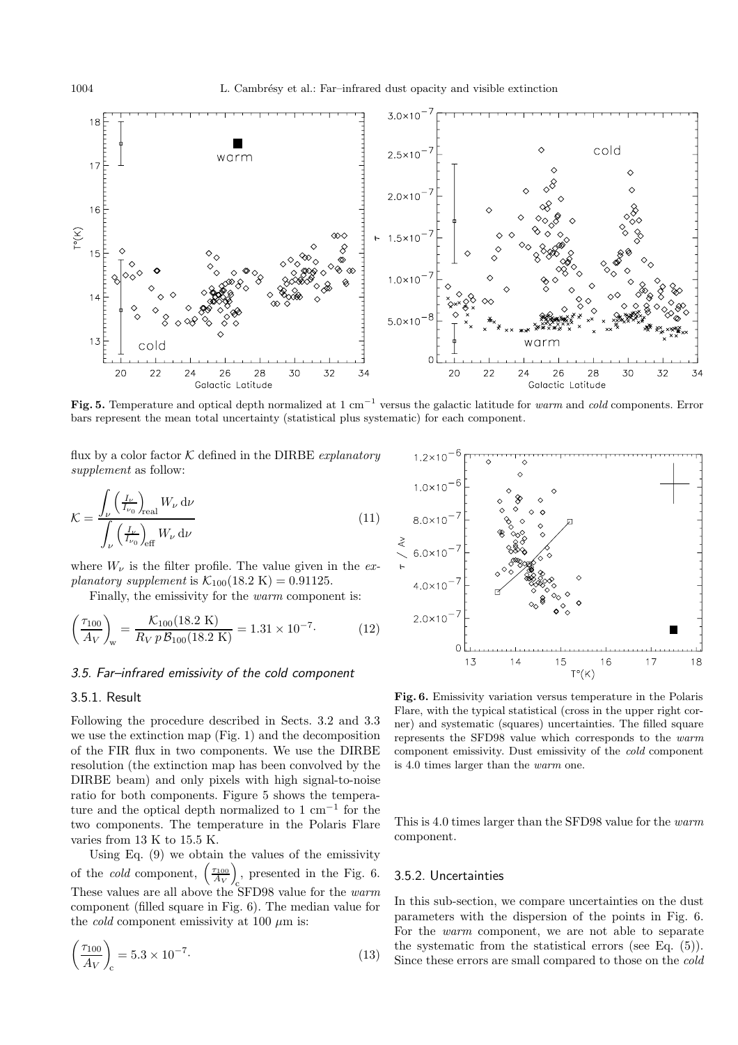

**Fig. 5.** Temperature and optical depth normalized at 1 cm−<sup>1</sup> versus the galactic latitude for warm and cold components. Error bars represent the mean total uncertainty (statistical plus systematic) for each component.

flux by a color factor  $K$  defined in the DIRBE *explanatory* supplement as follow:

$$
\mathcal{K} = \frac{\int_{\nu} \left( \frac{I_{\nu}}{I_{\nu_0}} \right)_{\text{real}} W_{\nu} \, \mathrm{d}\nu}{\int_{\nu} \left( \frac{I_{\nu}}{I_{\nu_0}} \right)_{\text{eff}} W_{\nu} \, \mathrm{d}\nu}
$$
\n(11)

where  $W_{\nu}$  is the filter profile. The value given in the explanatory supplement is  $K_{100}(18.2 \text{ K}) = 0.91125$ .

Finally, the emissivity for the warm component is:

$$
\left(\frac{\tau_{100}}{A_V}\right)_w = \frac{\mathcal{K}_{100}(18.2 \text{ K})}{R_V p \mathcal{B}_{100}(18.2 \text{ K})} = 1.31 \times 10^{-7}.
$$
 (12)

# 3.5. Far–infrared emissivity of the cold component

# 3.5.1. Result

Following the procedure described in Sects. 3.2 and 3.3 we use the extinction map (Fig. 1) and the decomposition of the FIR flux in two components. We use the DIRBE resolution (the extinction map has been convolved by the DIRBE beam) and only pixels with high signal-to-noise ratio for both components. Figure 5 shows the temperature and the optical depth normalized to  $1 \text{ cm}^{-1}$  for the two components. The temperature in the Polaris Flare varies from 13 K to 15.5 K.

Using Eq. (9) we obtain the values of the emissivity of the *cold* component,  $\begin{pmatrix} \tau_{100} \\ A_V \end{pmatrix}$  , presented in the Fig. 6. These values are all above the SFD98 value for the warm component (filled square in Fig. 6). The median value for the *cold* component emissivity at 100  $\mu$ m is:

$$
\left(\frac{\tau_{100}}{A_V}\right)_{\rm c} = 5.3 \times 10^{-7}.\tag{13}
$$



**Fig. 6.** Emissivity variation versus temperature in the Polaris Flare, with the typical statistical (cross in the upper right corner) and systematic (squares) uncertainties. The filled square represents the SFD98 value which corresponds to the warm component emissivity. Dust emissivity of the cold component is 4.0 times larger than the warm one.

This is 4.0 times larger than the SFD98 value for the warm component.

## 3.5.2. Uncertainties

In this sub-section, we compare uncertainties on the dust parameters with the dispersion of the points in Fig. 6. For the warm component, we are not able to separate the systematic from the statistical errors (see Eq. (5)). Since these errors are small compared to those on the cold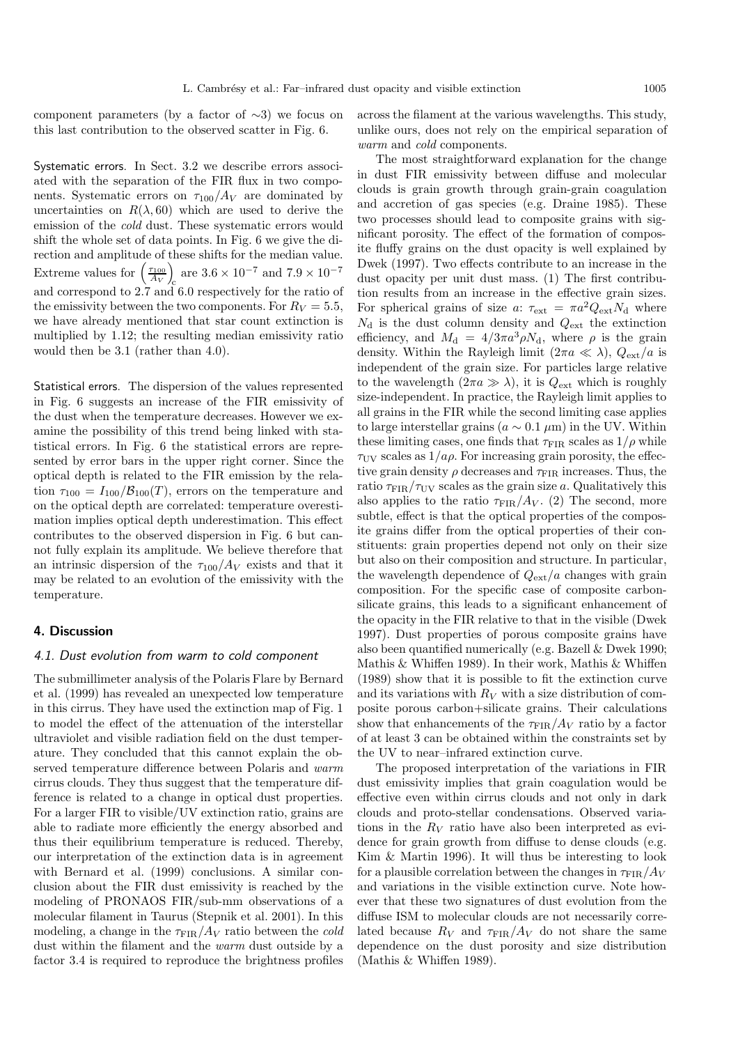component parameters (by a factor of ∼3) we focus on this last contribution to the observed scatter in Fig. 6.

Systematic errors. In Sect. 3.2 we describe errors associated with the separation of the FIR flux in two components. Systematic errors on  $\tau_{100}/A_V$  are dominated by uncertainties on  $R(\lambda, 60)$  which are used to derive the emission of the cold dust. These systematic errors would shift the whole set of data points. In Fig. 6 we give the direction and amplitude of these shifts for the median value. Extreme values for  $\left(\frac{\tau_{100}}{A_V}\right)$  $\int_{c}$  are 3.6 × 10<sup>-7</sup> and 7.9 × 10<sup>-7</sup> and correspond to 2.7 and 6.0 respectively for the ratio of the emissivity between the two components. For  $R_V = 5.5$ , we have already mentioned that star count extinction is multiplied by 1.12; the resulting median emissivity ratio would then be 3.1 (rather than 4.0).

Statistical errors. The dispersion of the values represented in Fig. 6 suggests an increase of the FIR emissivity of the dust when the temperature decreases. However we examine the possibility of this trend being linked with statistical errors. In Fig. 6 the statistical errors are represented by error bars in the upper right corner. Since the optical depth is related to the FIR emission by the relation  $\tau_{100} = I_{100}/\mathcal{B}_{100}(T)$ , errors on the temperature and on the optical depth are correlated: temperature overestimation implies optical depth underestimation. This effect contributes to the observed dispersion in Fig. 6 but cannot fully explain its amplitude. We believe therefore that an intrinsic dispersion of the  $\tau_{100}/A_V$  exists and that it may be related to an evolution of the emissivity with the temperature.

## **4. Discussion**

#### 4.1. Dust evolution from warm to cold component

The submillimeter analysis of the Polaris Flare by Bernard et al. (1999) has revealed an unexpected low temperature in this cirrus. They have used the extinction map of Fig. 1 to model the effect of the attenuation of the interstellar ultraviolet and visible radiation field on the dust temperature. They concluded that this cannot explain the observed temperature difference between Polaris and warm cirrus clouds. They thus suggest that the temperature difference is related to a change in optical dust properties. For a larger FIR to visible/UV extinction ratio, grains are able to radiate more efficiently the energy absorbed and thus their equilibrium temperature is reduced. Thereby, our interpretation of the extinction data is in agreement with Bernard et al. (1999) conclusions. A similar conclusion about the FIR dust emissivity is reached by the modeling of PRONAOS FIR/sub-mm observations of a molecular filament in Taurus (Stepnik et al. 2001). In this modeling, a change in the  $\tau_{\text{FIR}}/A_V$  ratio between the *cold* dust within the filament and the warm dust outside by a factor 3.4 is required to reproduce the brightness profiles

across the filament at the various wavelengths. This study, unlike ours, does not rely on the empirical separation of warm and *cold* components.

The most straightforward explanation for the change in dust FIR emissivity between diffuse and molecular clouds is grain growth through grain-grain coagulation and accretion of gas species (e.g. Draine 1985). These two processes should lead to composite grains with significant porosity. The effect of the formation of composite fluffy grains on the dust opacity is well explained by Dwek (1997). Two effects contribute to an increase in the dust opacity per unit dust mass. (1) The first contribution results from an increase in the effective grain sizes. For spherical grains of size a:  $\tau_{ext} = \pi a^2 Q_{ext} N_d$  where  $N_{\rm d}$  is the dust column density and  $Q_{\rm ext}$  the extinction efficiency, and  $M_d = 4/3\pi a^3 \rho N_d$ , where  $\rho$  is the grain density. Within the Rayleigh limit  $(2\pi a \ll \lambda)$ ,  $Q_{\text{ext}}/a$  is independent of the grain size. For particles large relative to the wavelength  $(2\pi a \gg \lambda)$ , it is  $Q_{\text{ext}}$  which is roughly size-independent. In practice, the Rayleigh limit applies to all grains in the FIR while the second limiting case applies to large interstellar grains ( $a \sim 0.1 \ \mu m$ ) in the UV. Within these limiting cases, one finds that  $\tau_{\text{FIR}}$  scales as  $1/\rho$  while  $\tau_{\rm UV}$  scales as  $1/a\rho$ . For increasing grain porosity, the effective grain density  $\rho$  decreases and  $\tau_{\text{FIR}}$  increases. Thus, the ratio  $\tau_{\text{FIR}}/\tau_{\text{UV}}$  scales as the grain size a. Qualitatively this also applies to the ratio  $\tau_{\text{FIR}}/A_V$ . (2) The second, more subtle, effect is that the optical properties of the composite grains differ from the optical properties of their constituents: grain properties depend not only on their size but also on their composition and structure. In particular, the wavelength dependence of  $Q_{\text{ext}}/a$  changes with grain composition. For the specific case of composite carbonsilicate grains, this leads to a significant enhancement of the opacity in the FIR relative to that in the visible (Dwek 1997). Dust properties of porous composite grains have also been quantified numerically (e.g. Bazell & Dwek 1990; Mathis & Whiffen 1989). In their work, Mathis & Whiffen (1989) show that it is possible to fit the extinction curve and its variations with  $R_V$  with a size distribution of composite porous carbon+silicate grains. Their calculations show that enhancements of the  $\tau_{\text{FIR}}/A_V$  ratio by a factor of at least 3 can be obtained within the constraints set by the UV to near–infrared extinction curve.

The proposed interpretation of the variations in FIR dust emissivity implies that grain coagulation would be effective even within cirrus clouds and not only in dark clouds and proto-stellar condensations. Observed variations in the  $R_V$  ratio have also been interpreted as evidence for grain growth from diffuse to dense clouds (e.g. Kim & Martin 1996). It will thus be interesting to look for a plausible correlation between the changes in  $\tau_{\text{FIR}}/A_V$ and variations in the visible extinction curve. Note however that these two signatures of dust evolution from the diffuse ISM to molecular clouds are not necessarily correlated because  $R_V$  and  $\tau_{\text{FIR}}/A_V$  do not share the same dependence on the dust porosity and size distribution (Mathis & Whiffen 1989).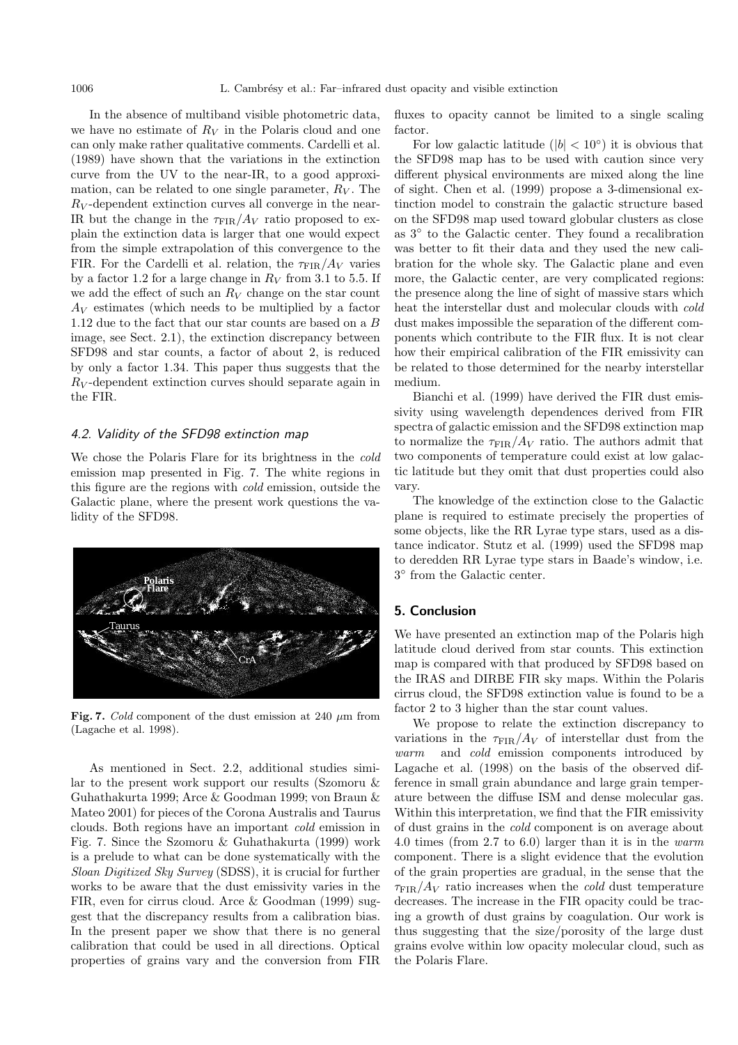In the absence of multiband visible photometric data, we have no estimate of  $R_V$  in the Polaris cloud and one can only make rather qualitative comments. Cardelli et al. (1989) have shown that the variations in the extinction curve from the UV to the near-IR, to a good approximation, can be related to one single parameter,  $R_V$ . The  $R_V$ -dependent extinction curves all converge in the near-IR but the change in the  $\tau_{\text{FIR}}/A_V$  ratio proposed to explain the extinction data is larger that one would expect from the simple extrapolation of this convergence to the FIR. For the Cardelli et al. relation, the  $\tau_{\text{FIR}}/A_V$  varies by a factor 1.2 for a large change in  $R_V$  from 3.1 to 5.5. If we add the effect of such an  $R_V$  change on the star count  $A_V$  estimates (which needs to be multiplied by a factor 1.12 due to the fact that our star counts are based on a B image, see Sect. 2.1), the extinction discrepancy between SFD98 and star counts, a factor of about 2, is reduced by only a factor 1.34. This paper thus suggests that the  $R_V$ -dependent extinction curves should separate again in the FIR.

#### 4.2. Validity of the SFD98 extinction map

We chose the Polaris Flare for its brightness in the cold emission map presented in Fig. 7. The white regions in this figure are the regions with cold emission, outside the Galactic plane, where the present work questions the validity of the SFD98.



Fig. 7. Cold component of the dust emission at 240  $\mu$ m from (Lagache et al. 1998).

As mentioned in Sect. 2.2, additional studies similar to the present work support our results (Szomoru & Guhathakurta 1999; Arce & Goodman 1999; von Braun & Mateo 2001) for pieces of the Corona Australis and Taurus clouds. Both regions have an important cold emission in Fig. 7. Since the Szomoru & Guhathakurta (1999) work is a prelude to what can be done systematically with the Sloan Digitized Sky Survey (SDSS), it is crucial for further works to be aware that the dust emissivity varies in the FIR, even for cirrus cloud. Arce & Goodman (1999) suggest that the discrepancy results from a calibration bias. In the present paper we show that there is no general calibration that could be used in all directions. Optical properties of grains vary and the conversion from FIR fluxes to opacity cannot be limited to a single scaling factor.

For low galactic latitude  $(|b| < 10°)$  it is obvious that the SFD98 map has to be used with caution since very different physical environments are mixed along the line of sight. Chen et al. (1999) propose a 3-dimensional extinction model to constrain the galactic structure based on the SFD98 map used toward globular clusters as close as 3◦ to the Galactic center. They found a recalibration was better to fit their data and they used the new calibration for the whole sky. The Galactic plane and even more, the Galactic center, are very complicated regions: the presence along the line of sight of massive stars which heat the interstellar dust and molecular clouds with cold dust makes impossible the separation of the different components which contribute to the FIR flux. It is not clear how their empirical calibration of the FIR emissivity can be related to those determined for the nearby interstellar medium.

Bianchi et al. (1999) have derived the FIR dust emissivity using wavelength dependences derived from FIR spectra of galactic emission and the SFD98 extinction map to normalize the  $\tau_{\text{FIR}}/A_V$  ratio. The authors admit that two components of temperature could exist at low galactic latitude but they omit that dust properties could also vary.

The knowledge of the extinction close to the Galactic plane is required to estimate precisely the properties of some objects, like the RR Lyrae type stars, used as a distance indicator. Stutz et al. (1999) used the SFD98 map to deredden RR Lyrae type stars in Baade's window, i.e. 3◦ from the Galactic center.

### **5. Conclusion**

We have presented an extinction map of the Polaris high latitude cloud derived from star counts. This extinction map is compared with that produced by SFD98 based on the IRAS and DIRBE FIR sky maps. Within the Polaris cirrus cloud, the SFD98 extinction value is found to be a factor 2 to 3 higher than the star count values.

We propose to relate the extinction discrepancy to variations in the  $\tau_{\text{FIR}}/A_V$  of interstellar dust from the warm and cold emission components introduced by Lagache et al. (1998) on the basis of the observed difference in small grain abundance and large grain temperature between the diffuse ISM and dense molecular gas. Within this interpretation, we find that the FIR emissivity of dust grains in the cold component is on average about 4.0 times (from 2.7 to 6.0) larger than it is in the warm component. There is a slight evidence that the evolution of the grain properties are gradual, in the sense that the  $\tau_{\text{FIR}}/A_V$  ratio increases when the *cold* dust temperature decreases. The increase in the FIR opacity could be tracing a growth of dust grains by coagulation. Our work is thus suggesting that the size/porosity of the large dust grains evolve within low opacity molecular cloud, such as the Polaris Flare.